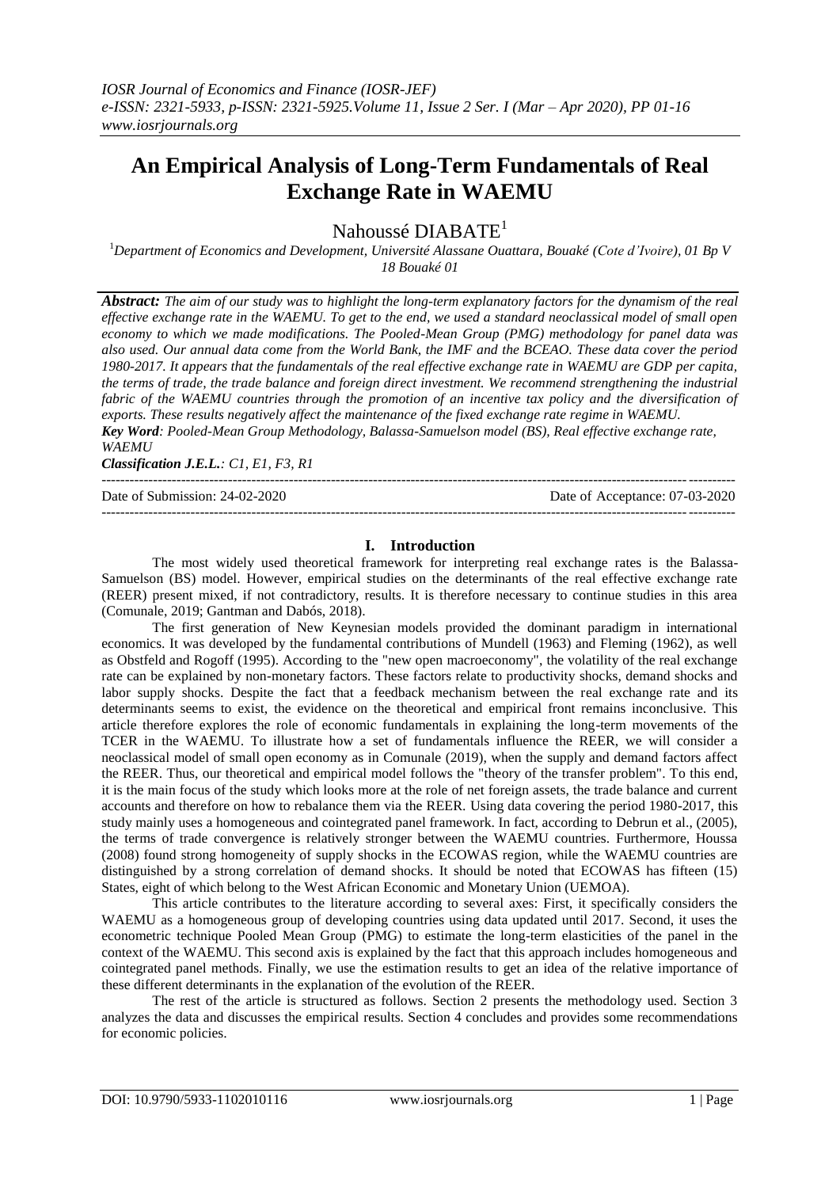# **An Empirical Analysis of Long-Term Fundamentals of Real Exchange Rate in WAEMU**

Nahoussé DIABATE<sup>1</sup>

<sup>1</sup>*Department of Economics and Development, Université Alassane Ouattara, Bouaké (Cote d'Ivoire), 01 Bp V 18 Bouaké 01*

*Abstract: The aim of our study was to highlight the long-term explanatory factors for the dynamism of the real effective exchange rate in the WAEMU. To get to the end, we used a standard neoclassical model of small open economy to which we made modifications. The Pooled-Mean Group (PMG) methodology for panel data was also used. Our annual data come from the World Bank, the IMF and the BCEAO. These data cover the period 1980-2017. It appears that the fundamentals of the real effective exchange rate in WAEMU are GDP per capita, the terms of trade, the trade balance and foreign direct investment. We recommend strengthening the industrial*  fabric of the WAEMU countries through the promotion of an incentive tax policy and the diversification of *exports. These results negatively affect the maintenance of the fixed exchange rate regime in WAEMU. Key Word: Pooled-Mean Group Methodology, Balassa-Samuelson model (BS), Real effective exchange rate, WAEMU*

*Classification J.E.L.: C1, E1, F3, R1*

Date of Submission: 24-02-2020 Date of Acceptance: 07-03-2020

# **I. Introduction**

---------------------------------------------------------------------------------------------------------------------------------------

---------------------------------------------------------------------------------------------------------------------------------------

The most widely used theoretical framework for interpreting real exchange rates is the Balassa-Samuelson (BS) model. However, empirical studies on the determinants of the real effective exchange rate (REER) present mixed, if not contradictory, results. It is therefore necessary to continue studies in this area (Comunale, 2019; Gantman and Dabós, 2018).

The first generation of New Keynesian models provided the dominant paradigm in international economics. It was developed by the fundamental contributions of Mundell (1963) and Fleming (1962), as well as Obstfeld and Rogoff (1995). According to the "new open macroeconomy", the volatility of the real exchange rate can be explained by non-monetary factors. These factors relate to productivity shocks, demand shocks and labor supply shocks. Despite the fact that a feedback mechanism between the real exchange rate and its determinants seems to exist, the evidence on the theoretical and empirical front remains inconclusive. This article therefore explores the role of economic fundamentals in explaining the long-term movements of the TCER in the WAEMU. To illustrate how a set of fundamentals influence the REER, we will consider a neoclassical model of small open economy as in Comunale (2019), when the supply and demand factors affect the REER. Thus, our theoretical and empirical model follows the "theory of the transfer problem". To this end, it is the main focus of the study which looks more at the role of net foreign assets, the trade balance and current accounts and therefore on how to rebalance them via the REER. Using data covering the period 1980-2017, this study mainly uses a homogeneous and cointegrated panel framework. In fact, according to Debrun et al., (2005), the terms of trade convergence is relatively stronger between the WAEMU countries. Furthermore, Houssa (2008) found strong homogeneity of supply shocks in the ECOWAS region, while the WAEMU countries are distinguished by a strong correlation of demand shocks. It should be noted that ECOWAS has fifteen (15) States, eight of which belong to the West African Economic and Monetary Union (UEMOA).

This article contributes to the literature according to several axes: First, it specifically considers the WAEMU as a homogeneous group of developing countries using data updated until 2017. Second, it uses the econometric technique Pooled Mean Group (PMG) to estimate the long-term elasticities of the panel in the context of the WAEMU. This second axis is explained by the fact that this approach includes homogeneous and cointegrated panel methods. Finally, we use the estimation results to get an idea of the relative importance of these different determinants in the explanation of the evolution of the REER.

The rest of the article is structured as follows. Section 2 presents the methodology used. Section 3 analyzes the data and discusses the empirical results. Section 4 concludes and provides some recommendations for economic policies.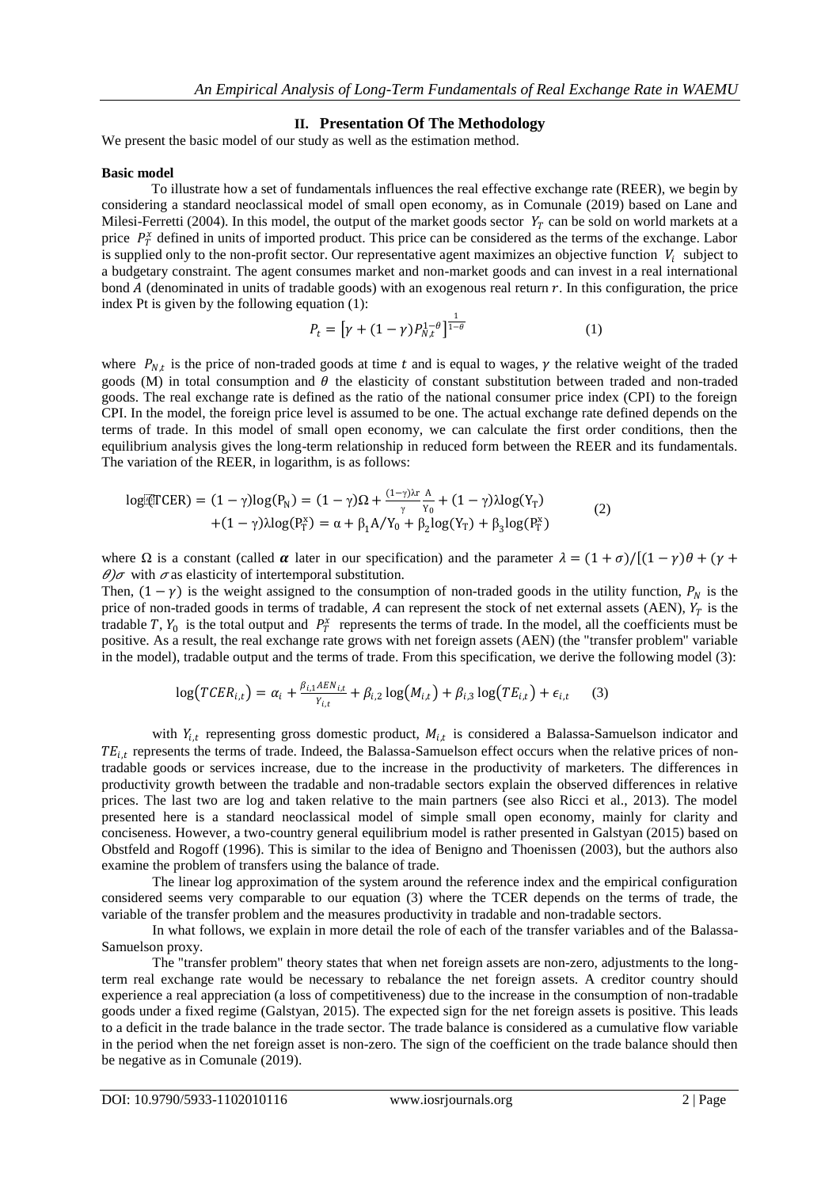## **II. Presentation Of The Methodology**

We present the basic model of our study as well as the estimation method.

#### **Basic model**

To illustrate how a set of fundamentals influences the real effective exchange rate (REER), we begin by considering a standard neoclassical model of small open economy, as in Comunale (2019) based on Lane and Milesi-Ferretti (2004). In this model, the output of the market goods sector  $Y_T$  can be sold on world markets at a price  $P_T^x$  defined in units of imported product. This price can be considered as the terms of the exchange. Labor is supplied only to the non-profit sector. Our representative agent maximizes an objective function  $V_i$  subject to a budgetary constraint. The agent consumes market and non-market goods and can invest in a real international bond A (denominated in units of tradable goods) with an exogenous real return  $r$ . In this configuration, the price index Pt is given by the following equation (1):

$$
P_t = \left[ \gamma + (1 - \gamma) P_{N,t}^{1-\theta} \right]^{\frac{1}{1-\theta}} \tag{1}
$$

where  $P_{N,t}$  is the price of non-traded goods at time t and is equal to wages,  $\gamma$  the relative weight of the traded goods  $(M)$  in total consumption and  $\theta$  the elasticity of constant substitution between traded and non-traded goods. The real exchange rate is defined as the ratio of the national consumer price index (CPI) to the foreign CPI. In the model, the foreign price level is assumed to be one. The actual exchange rate defined depends on the terms of trade. In this model of small open economy, we can calculate the first order conditions, then the equilibrium analysis gives the long-term relationship in reduced form between the REER and its fundamentals. The variation of the REER, in logarithm, is as follows:

$$
log[ETCER] = (1 - \gamma)log(P_N) = (1 - \gamma)\Omega + \frac{(1 - \gamma)\lambda r}{\gamma} \frac{A}{Y_0} + (1 - \gamma)\lambda log(Y_T) + (1 - \gamma)\lambda log(P_T^x) = \alpha + \beta_1 A/Y_0 + \beta_2 log(Y_T) + \beta_3 log(P_T^x)
$$
(2)

where  $\Omega$  is a constant (called  $\alpha$  later in our specification) and the parameter  $\lambda = (1 + \sigma)/[(1 - \gamma)\theta + (\gamma + \sigma)]$  $\theta$ ) $\sigma$  with  $\sigma$  as elasticity of intertemporal substitution.

Then,  $(1 - \gamma)$  is the weight assigned to the consumption of non-traded goods in the utility function,  $P_N$  is the price of non-traded goods in terms of tradable, A can represent the stock of net external assets (AEN),  $Y_T$  is the tradable T,  $Y_0$  is the total output and  $P_T^x$  represents the terms of trade. In the model, all the coefficients must be positive. As a result, the real exchange rate grows with net foreign assets (AEN) (the "transfer problem" variable in the model), tradable output and the terms of trade. From this specification, we derive the following model (3):

$$
\log(TCER_{i,t}) = \alpha_i + \frac{\beta_{i,1}ABN_{i,t}}{Y_{i,t}} + \beta_{i,2}\log(M_{i,t}) + \beta_{i,3}\log(TE_{i,t}) + \epsilon_{i,t} \tag{3}
$$

with  $Y_{i,t}$  representing gross domestic product,  $M_{i,t}$  is considered a Balassa-Samuelson indicator and  $TE_{i,t}$  represents the terms of trade. Indeed, the Balassa-Samuelson effect occurs when the relative prices of nontradable goods or services increase, due to the increase in the productivity of marketers. The differences in productivity growth between the tradable and non-tradable sectors explain the observed differences in relative prices. The last two are log and taken relative to the main partners (see also Ricci et al., 2013). The model presented here is a standard neoclassical model of simple small open economy, mainly for clarity and conciseness. However, a two-country general equilibrium model is rather presented in Galstyan (2015) based on Obstfeld and Rogoff (1996). This is similar to the idea of Benigno and Thoenissen (2003), but the authors also examine the problem of transfers using the balance of trade.

The linear log approximation of the system around the reference index and the empirical configuration considered seems very comparable to our equation (3) where the TCER depends on the terms of trade, the variable of the transfer problem and the measures productivity in tradable and non-tradable sectors.

In what follows, we explain in more detail the role of each of the transfer variables and of the Balassa-Samuelson proxy.

The "transfer problem" theory states that when net foreign assets are non-zero, adjustments to the longterm real exchange rate would be necessary to rebalance the net foreign assets. A creditor country should experience a real appreciation (a loss of competitiveness) due to the increase in the consumption of non-tradable goods under a fixed regime (Galstyan, 2015). The expected sign for the net foreign assets is positive. This leads to a deficit in the trade balance in the trade sector. The trade balance is considered as a cumulative flow variable in the period when the net foreign asset is non-zero. The sign of the coefficient on the trade balance should then be negative as in Comunale (2019).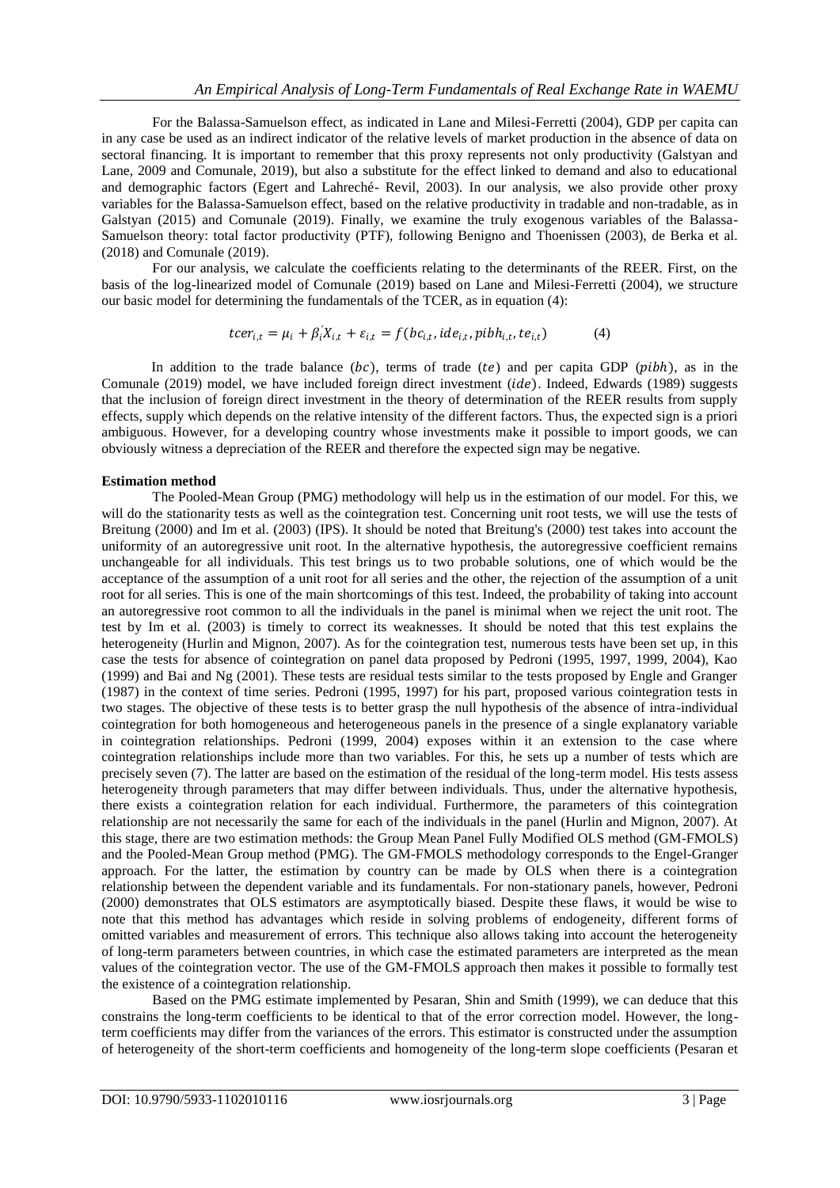For the Balassa-Samuelson effect, as indicated in Lane and Milesi-Ferretti (2004), GDP per capita can in any case be used as an indirect indicator of the relative levels of market production in the absence of data on sectoral financing. It is important to remember that this proxy represents not only productivity (Galstyan and Lane, 2009 and Comunale, 2019), but also a substitute for the effect linked to demand and also to educational and demographic factors (Egert and Lahreché- Revil, 2003). In our analysis, we also provide other proxy variables for the Balassa-Samuelson effect, based on the relative productivity in tradable and non-tradable, as in Galstyan (2015) and Comunale (2019). Finally, we examine the truly exogenous variables of the Balassa-Samuelson theory: total factor productivity (PTF), following Benigno and Thoenissen (2003), de Berka et al. (2018) and Comunale (2019).

For our analysis, we calculate the coefficients relating to the determinants of the REER. First, on the basis of the log-linearized model of Comunale (2019) based on Lane and Milesi-Ferretti (2004), we structure our basic model for determining the fundamentals of the TCER, as in equation (4):

$$
tcer_{i,t} = \mu_i + \beta'_i X_{i,t} + \varepsilon_{i,t} = f(bc_{i,t}, ide_{i,t}, pibh_{i,t}, te_{i,t})
$$
 (4)

In addition to the trade balance  $(bc)$ , terms of trade  $(te)$  and per capita GDP ( $pibh$ ), as in the Comunale (2019) model, we have included foreign direct investment ( $ide$ ). Indeed, Edwards (1989) suggests that the inclusion of foreign direct investment in the theory of determination of the REER results from supply effects, supply which depends on the relative intensity of the different factors. Thus, the expected sign is a priori ambiguous. However, for a developing country whose investments make it possible to import goods, we can obviously witness a depreciation of the REER and therefore the expected sign may be negative.

#### **Estimation method**

The Pooled-Mean Group (PMG) methodology will help us in the estimation of our model. For this, we will do the stationarity tests as well as the cointegration test. Concerning unit root tests, we will use the tests of Breitung (2000) and Im et al. (2003) (IPS). It should be noted that Breitung's (2000) test takes into account the uniformity of an autoregressive unit root. In the alternative hypothesis, the autoregressive coefficient remains unchangeable for all individuals. This test brings us to two probable solutions, one of which would be the acceptance of the assumption of a unit root for all series and the other, the rejection of the assumption of a unit root for all series. This is one of the main shortcomings of this test. Indeed, the probability of taking into account an autoregressive root common to all the individuals in the panel is minimal when we reject the unit root. The test by Im et al. (2003) is timely to correct its weaknesses. It should be noted that this test explains the heterogeneity (Hurlin and Mignon, 2007). As for the cointegration test, numerous tests have been set up, in this case the tests for absence of cointegration on panel data proposed by Pedroni (1995, 1997, 1999, 2004), Kao (1999) and Bai and Ng (2001). These tests are residual tests similar to the tests proposed by Engle and Granger (1987) in the context of time series. Pedroni (1995, 1997) for his part, proposed various cointegration tests in two stages. The objective of these tests is to better grasp the null hypothesis of the absence of intra-individual cointegration for both homogeneous and heterogeneous panels in the presence of a single explanatory variable in cointegration relationships. Pedroni (1999, 2004) exposes within it an extension to the case where cointegration relationships include more than two variables. For this, he sets up a number of tests which are precisely seven (7). The latter are based on the estimation of the residual of the long-term model. His tests assess heterogeneity through parameters that may differ between individuals. Thus, under the alternative hypothesis, there exists a cointegration relation for each individual. Furthermore, the parameters of this cointegration relationship are not necessarily the same for each of the individuals in the panel (Hurlin and Mignon, 2007). At this stage, there are two estimation methods: the Group Mean Panel Fully Modified OLS method (GM-FMOLS) and the Pooled-Mean Group method (PMG). The GM-FMOLS methodology corresponds to the Engel-Granger approach. For the latter, the estimation by country can be made by OLS when there is a cointegration relationship between the dependent variable and its fundamentals. For non-stationary panels, however, Pedroni (2000) demonstrates that OLS estimators are asymptotically biased. Despite these flaws, it would be wise to note that this method has advantages which reside in solving problems of endogeneity, different forms of omitted variables and measurement of errors. This technique also allows taking into account the heterogeneity of long-term parameters between countries, in which case the estimated parameters are interpreted as the mean values of the cointegration vector. The use of the GM-FMOLS approach then makes it possible to formally test the existence of a cointegration relationship.

Based on the PMG estimate implemented by Pesaran, Shin and Smith (1999), we can deduce that this constrains the long-term coefficients to be identical to that of the error correction model. However, the longterm coefficients may differ from the variances of the errors. This estimator is constructed under the assumption of heterogeneity of the short-term coefficients and homogeneity of the long-term slope coefficients (Pesaran et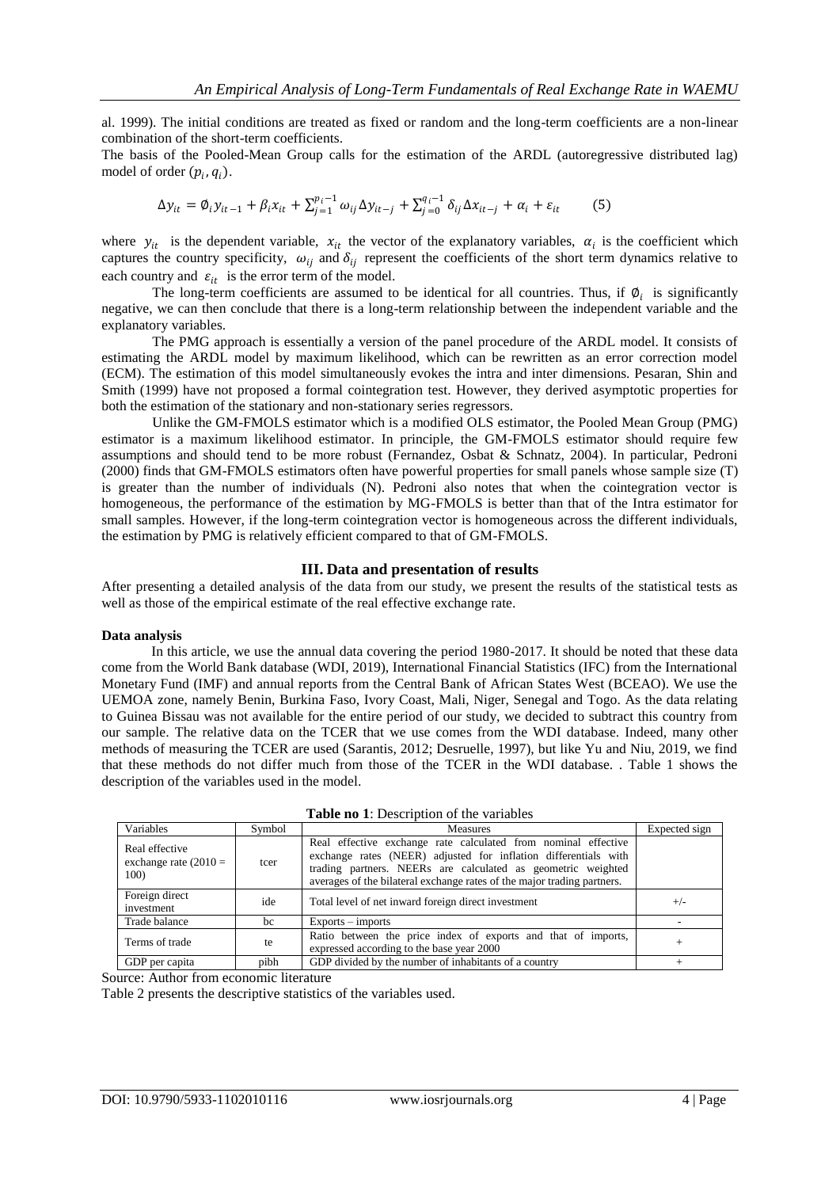al. 1999). The initial conditions are treated as fixed or random and the long-term coefficients are a non-linear combination of the short-term coefficients.

The basis of the Pooled-Mean Group calls for the estimation of the ARDL (autoregressive distributed lag) model of order  $(p_i, q_i)$ .

$$
\Delta y_{it} = \emptyset_i y_{it-1} + \beta_i x_{it} + \sum_{j=1}^{p_i - 1} \omega_{ij} \Delta y_{it-j} + \sum_{j=0}^{q_i - 1} \delta_{ij} \Delta x_{it-j} + \alpha_i + \varepsilon_{it}
$$
(5)

where  $y_{it}$  is the dependent variable,  $x_{it}$  the vector of the explanatory variables,  $\alpha_i$  is the coefficient which captures the country specificity,  $\omega_{ij}$  and  $\delta_{ij}$  represent the coefficients of the short term dynamics relative to each country and  $\varepsilon_{it}$  is the error term of the model.

The long-term coefficients are assumed to be identical for all countries. Thus, if  $\mathcal{O}_i$  is significantly negative, we can then conclude that there is a long-term relationship between the independent variable and the explanatory variables.

The PMG approach is essentially a version of the panel procedure of the ARDL model. It consists of estimating the ARDL model by maximum likelihood, which can be rewritten as an error correction model (ECM). The estimation of this model simultaneously evokes the intra and inter dimensions. Pesaran, Shin and Smith (1999) have not proposed a formal cointegration test. However, they derived asymptotic properties for both the estimation of the stationary and non-stationary series regressors.

Unlike the GM-FMOLS estimator which is a modified OLS estimator, the Pooled Mean Group (PMG) estimator is a maximum likelihood estimator. In principle, the GM-FMOLS estimator should require few assumptions and should tend to be more robust (Fernandez, Osbat & Schnatz, 2004). In particular, Pedroni (2000) finds that GM-FMOLS estimators often have powerful properties for small panels whose sample size (T) is greater than the number of individuals (N). Pedroni also notes that when the cointegration vector is homogeneous, the performance of the estimation by MG-FMOLS is better than that of the Intra estimator for small samples. However, if the long-term cointegration vector is homogeneous across the different individuals, the estimation by PMG is relatively efficient compared to that of GM-FMOLS.

#### **III. Data and presentation of results**

After presenting a detailed analysis of the data from our study, we present the results of the statistical tests as well as those of the empirical estimate of the real effective exchange rate.

#### **Data analysis**

In this article, we use the annual data covering the period 1980-2017. It should be noted that these data come from the World Bank database (WDI, 2019), International Financial Statistics (IFC) from the International Monetary Fund (IMF) and annual reports from the Central Bank of African States West (BCEAO). We use the UEMOA zone, namely Benin, Burkina Faso, Ivory Coast, Mali, Niger, Senegal and Togo. As the data relating to Guinea Bissau was not available for the entire period of our study, we decided to subtract this country from our sample. The relative data on the TCER that we use comes from the WDI database. Indeed, many other methods of measuring the TCER are used (Sarantis, 2012; Desruelle, 1997), but like Yu and Niu, 2019, we find that these methods do not differ much from those of the TCER in the WDI database. . Table 1 shows the description of the variables used in the model.

| Variables                                         | Symbol | Measures                                                                                                                                                                                                                                                                     | Expected sign |
|---------------------------------------------------|--------|------------------------------------------------------------------------------------------------------------------------------------------------------------------------------------------------------------------------------------------------------------------------------|---------------|
| Real effective<br>exchange rate $(2010 =$<br>100) | tcer   | Real effective exchange rate calculated from nominal effective<br>exchange rates (NEER) adjusted for inflation differentials with<br>trading partners. NEERs are calculated as geometric weighted<br>averages of the bilateral exchange rates of the major trading partners. |               |
| Foreign direct<br>investment                      | ide    | Total level of net inward foreign direct investment                                                                                                                                                                                                                          | $^{+/-}$      |
| Trade balance                                     | bc     | $Exports - imports$                                                                                                                                                                                                                                                          |               |
| Terms of trade                                    | te     | Ratio between the price index of exports and that of imports,<br>expressed according to the base year 2000                                                                                                                                                                   |               |
| GDP per capita                                    | pibh   | GDP divided by the number of inhabitants of a country                                                                                                                                                                                                                        |               |

**Table no 1**: Description of the variables

Source: Author from economic literature

Table 2 presents the descriptive statistics of the variables used.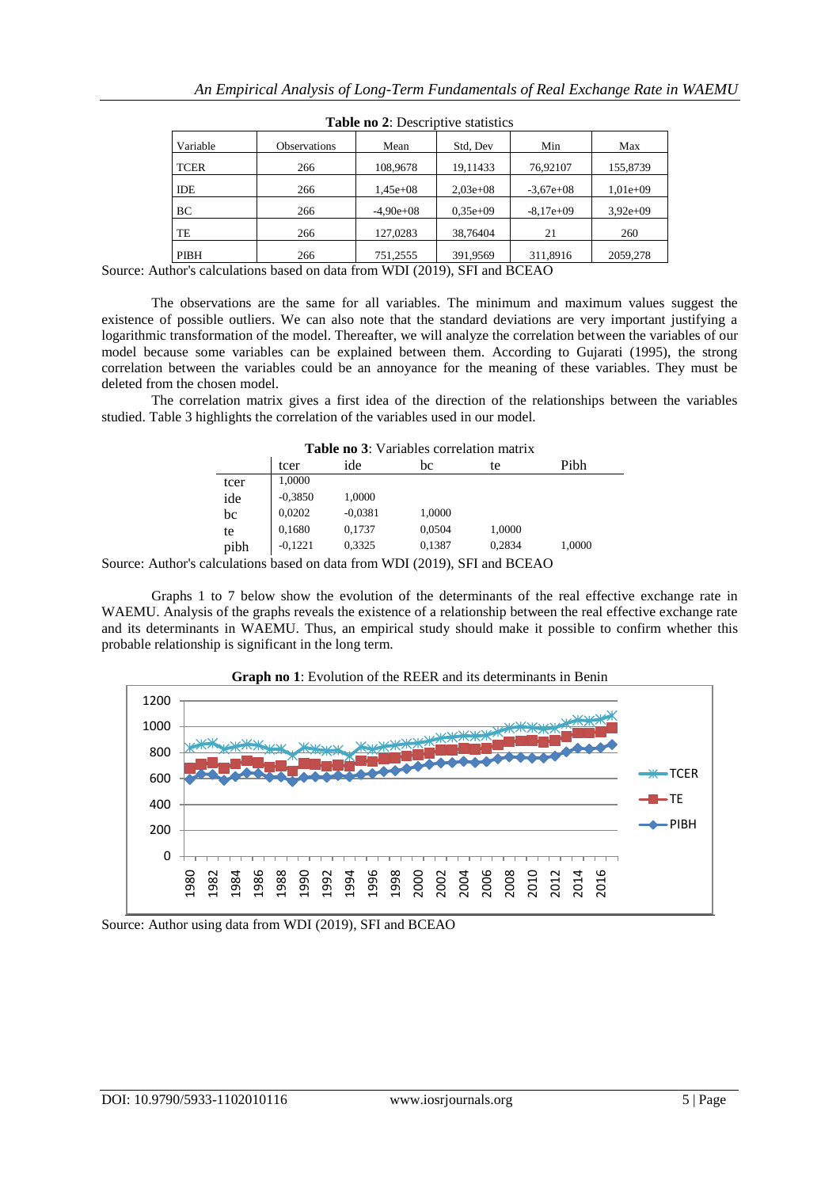| $\frac{1}{2}$ and $\frac{1}{2}$ . Descriptive statistics |             |             |             |             |  |
|----------------------------------------------------------|-------------|-------------|-------------|-------------|--|
| Observations                                             | Mean        | Std, Dev    | Min         | Max         |  |
| 266                                                      | 108,9678    | 19,11433    | 76,92107    | 155,8739    |  |
| 266                                                      | $1.45e+08$  | $2,03e+08$  | $-3,67e+08$ | $1,01e+09$  |  |
| 266                                                      | $-4.90e+08$ | $0.35e+0.9$ | $-8.17e+09$ | $3.92e+0.9$ |  |
| 266                                                      | 127,0283    | 38,76404    | 21          | 260         |  |
| 266                                                      | 751,2555    | 391.9569    | 311,8916    | 2059,278    |  |
|                                                          |             |             |             |             |  |

| Table no 2: Descriptive statistics |
|------------------------------------|
|------------------------------------|

Source: Author's calculations based on data from WDI (2019), SFI and BCEAO

The observations are the same for all variables. The minimum and maximum values suggest the existence of possible outliers. We can also note that the standard deviations are very important justifying a logarithmic transformation of the model. Thereafter, we will analyze the correlation between the variables of our model because some variables can be explained between them. According to Gujarati (1995), the strong correlation between the variables could be an annoyance for the meaning of these variables. They must be deleted from the chosen model.

The correlation matrix gives a first idea of the direction of the relationships between the variables studied. Table 3 highlights the correlation of the variables used in our model.

| <b>Table ho 3.</b> Valiables correlation matrix |           |           |        |        |      |
|-------------------------------------------------|-----------|-----------|--------|--------|------|
|                                                 | tcer      | ide       | bc     | te     | Pibh |
| tcer                                            | 1,0000    |           |        |        |      |
| ide                                             | $-0,3850$ | 1,0000    |        |        |      |
| bc                                              | 0,0202    | $-0.0381$ | 1,0000 |        |      |
| te                                              | 0,1680    | 0,1737    | 0,0504 | 1,0000 |      |
|                                                 |           |           |        |        |      |

pibh -0,1221 0,3325 0,1387 0,2834 1,0000

**Table no 3**: Variables correlation matrix

Source: Author's calculations based on data from WDI (2019), SFI and BCEAO

Graphs 1 to 7 below show the evolution of the determinants of the real effective exchange rate in WAEMU. Analysis of the graphs reveals the existence of a relationship between the real effective exchange rate and its determinants in WAEMU. Thus, an empirical study should make it possible to confirm whether this probable relationship is significant in the long term.



Source: Author using data from WDI (2019), SFI and BCEAO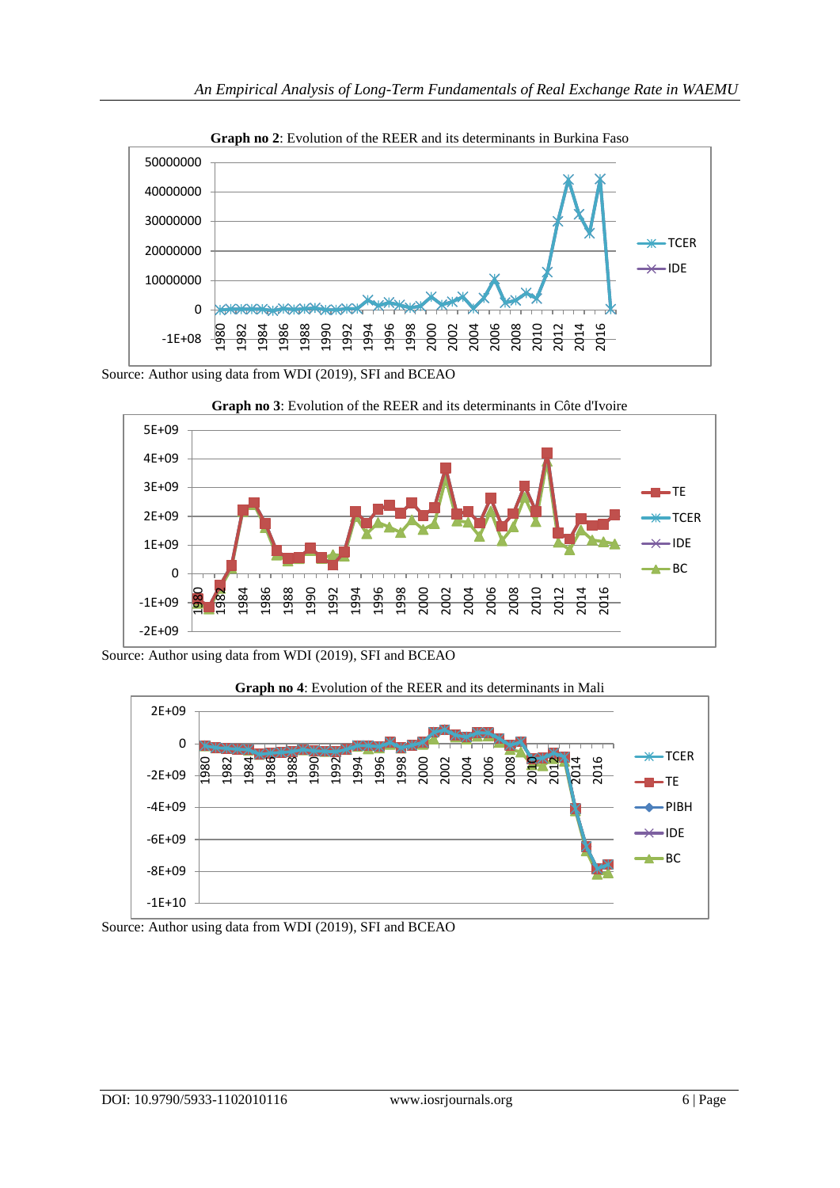

**Graph no 2**: Evolution of the REER and its determinants in Burkina Faso

Source: Author using data from WDI (2019), SFI and BCEAO







# **Graph no 4**: Evolution of the REER and its determinants in Mali

Source: Author using data from WDI (2019), SFI and BCEAO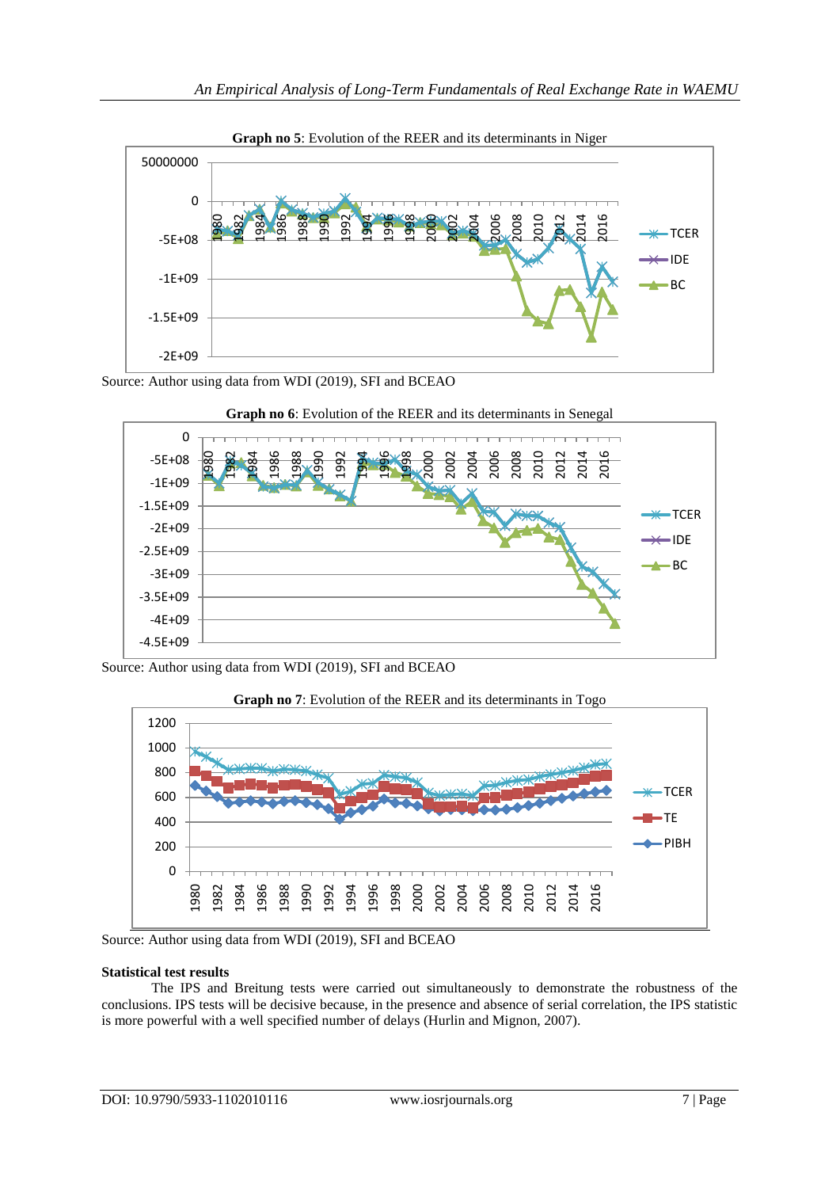

**Graph no 5**: Evolution of the REER and its determinants in Niger

Source: Author using data from WDI (2019), SFI and BCEAO





Source: Author using data from WDI (2019), SFI and BCEAO



**Graph no 7**: Evolution of the REER and its determinants in Togo

Source: Author using data from WDI (2019), SFI and BCEAO

#### **Statistical test results**

The IPS and Breitung tests were carried out simultaneously to demonstrate the robustness of the conclusions. IPS tests will be decisive because, in the presence and absence of serial correlation, the IPS statistic is more powerful with a well specified number of delays (Hurlin and Mignon, 2007).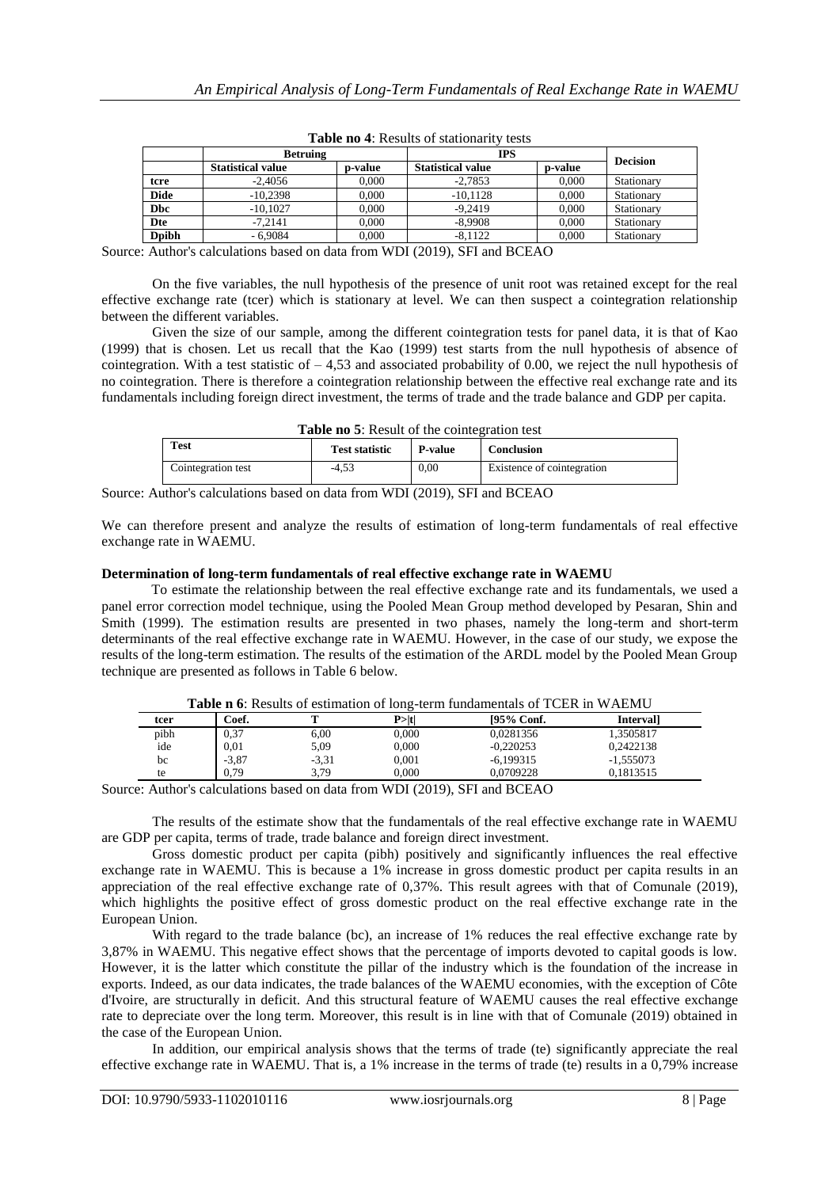|               | <b>Betruing</b>          |                 | <b>IPS</b>               |         |                 |
|---------------|--------------------------|-----------------|--------------------------|---------|-----------------|
|               | <b>Statistical value</b> | <b>p</b> -value | <b>Statistical value</b> | p-value | <b>Decision</b> |
| tcre          | $-2.4056$                | 0.000           | $-2.7853$                | 0.000   | Stationary      |
| <b>Dide</b>   | $-10.2398$               | 0.000           | $-10.1128$               | 0.000   | Stationary      |
| <b>Dbc</b>    | $-10.1027$               | 0.000           | $-9.2419$                | 0.000   | Stationary      |
| Dte           | $-7.2141$                | 0.000           | $-8.9908$                | 0.000   | Stationary      |
| <b>D</b> pibh | $-6.9084$                | 0.000           | $-8.1122$                | 0.000   | Stationary      |

**Table no 4**: Results of stationarity tests

Source: Author's calculations based on data from WDI (2019), SFI and BCEAO

On the five variables, the null hypothesis of the presence of unit root was retained except for the real effective exchange rate (tcer) which is stationary at level. We can then suspect a cointegration relationship between the different variables.

Given the size of our sample, among the different cointegration tests for panel data, it is that of Kao (1999) that is chosen. Let us recall that the Kao (1999) test starts from the null hypothesis of absence of cointegration. With a test statistic of  $-4.53$  and associated probability of 0.00, we reject the null hypothesis of no cointegration. There is therefore a cointegration relationship between the effective real exchange rate and its fundamentals including foreign direct investment, the terms of trade and the trade balance and GDP per capita.

| Table no 5: Result of the cointegration test |
|----------------------------------------------|
|                                              |

| <b>Test</b>        | <b>Test statistic</b> | <b>P-value</b> | Conclusion                 |
|--------------------|-----------------------|----------------|----------------------------|
| Cointegration test | -4.53                 | 0,00           | Existence of cointegration |

Source: Author's calculations based on data from WDI (2019), SFI and BCEAO

We can therefore present and analyze the results of estimation of long-term fundamentals of real effective exchange rate in WAEMU.

#### **Determination of long-term fundamentals of real effective exchange rate in WAEMU**

To estimate the relationship between the real effective exchange rate and its fundamentals, we used a panel error correction model technique, using the Pooled Mean Group method developed by Pesaran, Shin and Smith (1999). The estimation results are presented in two phases, namely the long-term and short-term determinants of the real effective exchange rate in WAEMU. However, in the case of our study, we expose the results of the long-term estimation. The results of the estimation of the ARDL model by the Pooled Mean Group technique are presented as follows in Table 6 below.

|      | <b>Table n 6:</b> Results of estimation of long-term fundamentals of TCER in WAEMU |         |        |             |                 |
|------|------------------------------------------------------------------------------------|---------|--------|-------------|-----------------|
| tcer | Coef.                                                                              |         | P >  t | [95% Conf.  | <b>Interval</b> |
| pibh | 0,37                                                                               | 6.00    | 0.000  | 0.0281356   | 1.3505817       |
| ide  | 0.01                                                                               | 5,09    | 0.000  | $-0.220253$ | 0.2422138       |
| bc   | $-3,87$                                                                            | $-3.31$ | 0.001  | $-6,199315$ | $-1,555073$     |
| te   | 0.79                                                                               | 3.79    | 0.000  | 0.0709228   | 0.1813515       |

**Table n 6**: Results of estimation of long-term fundamentals of TCER in WAEMU

Source: Author's calculations based on data from WDI (2019), SFI and BCEAO

The results of the estimate show that the fundamentals of the real effective exchange rate in WAEMU are GDP per capita, terms of trade, trade balance and foreign direct investment.

Gross domestic product per capita (pibh) positively and significantly influences the real effective exchange rate in WAEMU. This is because a 1% increase in gross domestic product per capita results in an appreciation of the real effective exchange rate of 0,37%. This result agrees with that of Comunale (2019), which highlights the positive effect of gross domestic product on the real effective exchange rate in the European Union.

With regard to the trade balance (bc), an increase of 1% reduces the real effective exchange rate by 3,87% in WAEMU. This negative effect shows that the percentage of imports devoted to capital goods is low. However, it is the latter which constitute the pillar of the industry which is the foundation of the increase in exports. Indeed, as our data indicates, the trade balances of the WAEMU economies, with the exception of Côte d'Ivoire, are structurally in deficit. And this structural feature of WAEMU causes the real effective exchange rate to depreciate over the long term. Moreover, this result is in line with that of Comunale (2019) obtained in the case of the European Union.

In addition, our empirical analysis shows that the terms of trade (te) significantly appreciate the real effective exchange rate in WAEMU. That is, a 1% increase in the terms of trade (te) results in a 0,79% increase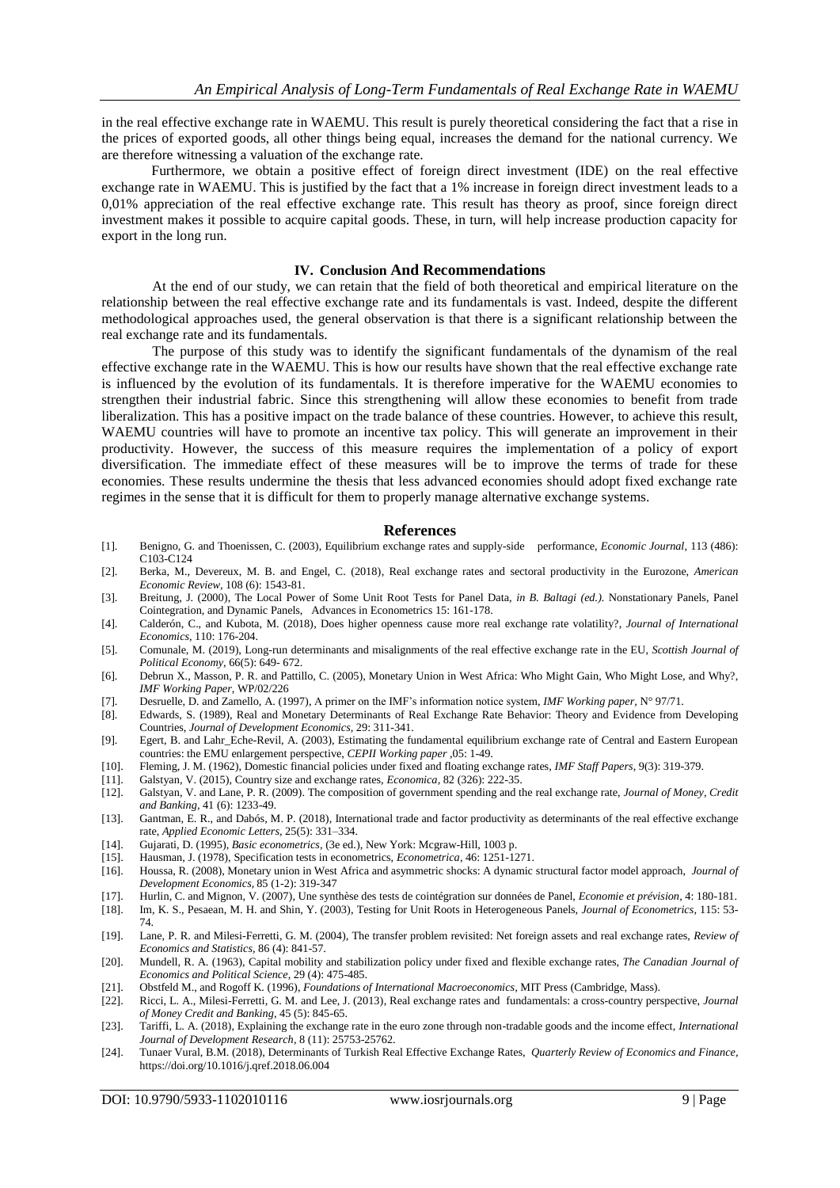in the real effective exchange rate in WAEMU. This result is purely theoretical considering the fact that a rise in the prices of exported goods, all other things being equal, increases the demand for the national currency. We are therefore witnessing a valuation of the exchange rate.

Furthermore, we obtain a positive effect of foreign direct investment (IDE) on the real effective exchange rate in WAEMU. This is justified by the fact that a 1% increase in foreign direct investment leads to a 0,01% appreciation of the real effective exchange rate. This result has theory as proof, since foreign direct investment makes it possible to acquire capital goods. These, in turn, will help increase production capacity for export in the long run.

#### **IV. Conclusion And Recommendations**

At the end of our study, we can retain that the field of both theoretical and empirical literature on the relationship between the real effective exchange rate and its fundamentals is vast. Indeed, despite the different methodological approaches used, the general observation is that there is a significant relationship between the real exchange rate and its fundamentals.

The purpose of this study was to identify the significant fundamentals of the dynamism of the real effective exchange rate in the WAEMU. This is how our results have shown that the real effective exchange rate is influenced by the evolution of its fundamentals. It is therefore imperative for the WAEMU economies to strengthen their industrial fabric. Since this strengthening will allow these economies to benefit from trade liberalization. This has a positive impact on the trade balance of these countries. However, to achieve this result, WAEMU countries will have to promote an incentive tax policy. This will generate an improvement in their productivity. However, the success of this measure requires the implementation of a policy of export diversification. The immediate effect of these measures will be to improve the terms of trade for these economies. These results undermine the thesis that less advanced economies should adopt fixed exchange rate regimes in the sense that it is difficult for them to properly manage alternative exchange systems.

#### **References**

- [1]. Benigno, G. and Thoenissen, C. (2003), Equilibrium exchange rates and supply-side performance, *Economic Journal,* 113 (486): C103-C124
- [2]. Berka, M., Devereux, M. B. and Engel, C. (2018), Real exchange rates and sectoral productivity in the Eurozone, *American Economic Review,* 108 (6): 1543-81.
- [3]. Breitung, J. (2000), The Local Power of Some Unit Root Tests for Panel Data, *in B. Baltagi (ed.).* Nonstationary Panels, Panel Cointegration, and Dynamic Panels, Advances in Econometrics 15: 161-178.
- [4]. Calderón, C., and Kubota, M. (2018), Does higher openness cause more real exchange rate volatility?, *Journal of International Economics,* 110: 176-204.
- [5]. Comunale, M. (2019), Long-run determinants and misalignments of the real effective exchange rate in the EU, *Scottish Journal of Political Economy,* 66(5): 649- 672.
- [6]. Debrun X., Masson, P. R. and [Pattillo, C.](https://www.researchgate.net/profile/Xavier_Debrun) (2005), Monetary Union in West Africa: Who Might Gain, Who Might Lose, and Why?, *IMF Working Paper*, WP/02/226
- [7]. Desruelle, D. and Zamello, A. (1997), A primer on the IMF's information notice system, *IMF Working paper,* N° 97/71.
- [8]. Edwards, S. (1989), Real and Monetary Determinants of Real Exchange Rate Behavior: Theory and Evidence from Developing Countries, *Journal of Development Economics,* 29: 311-341.
- [9]. Egert, B. and Lahr\_Eche-Revil, A. (2003), Estimating the fundamental equilibrium exchange rate of Central and Eastern European countries: the EMU enlargement perspective, *CEPII Working paper* ,05: 1-49.
- [10]. Fleming, J. M. (1962), Domestic financial policies under fixed and floating exchange rates, *IMF Staff Papers,* 9(3): 319-379.
- [11]. Galstyan, V. (2015), Country size and exchange rates, *Economica,* 82 (326): 222-35.
- [12]. Galstyan, V. and Lane, P. R. (2009). The composition of government spending and the real exchange rate, *Journal of Money, Credit and Banking,* 41 (6): 1233-49.
- [13]. Gantman, E. R., and Dabós, M. P. (2018), International trade and factor productivity as determinants of the real effective exchange rate, *Applied Economic Letters,* 25(5): 331–334.
- [14]. Gujarati, D. (1995), *Basic econometrics,* (3e ed.), New York: Mcgraw-Hill, 1003 p.
- [15]. Hausman, J. (1978), Specification tests in econometrics, *Econometrica,* 46: 1251-1271.
- [16]. Houssa, R. (2008), Monetary union in West Africa and asymmetric shocks: A dynamic structural factor model approach, *[Journal of](https://econpapers.repec.org/article/eeedeveco/)  [Development Economics](https://econpapers.repec.org/article/eeedeveco/)*, 85 (1-2): 319-347
- [17]. Hurlin, C. and Mignon, V. (2007), Une synthèse des tests de cointégration sur données de Panel, *Economie et prévision,* 4: 180-181.
- [18]. Im, K. S., Pesaean, M. H. and Shin, Y. (2003), Testing for Unit Roots in Heterogeneous Panels, *Journal of Econometrics,* 115: 53- 74.
- [19]. Lane, P. R. and Milesi-Ferretti, G. M. (2004), The transfer problem revisited: Net foreign assets and real exchange rates, *Review of Economics and Statistics,* 86 (4): 841-57.
- [20]. Mundell, R. A. (1963), Capital mobility and stabilization policy under fixed and flexible exchange rates, *The Canadian Journal of Economics and Political Science,* 29 (4): 475-485.
- [21]. Obstfeld M., and Rogoff K. (1996), *Foundations of International Macroeconomics,* MIT Press (Cambridge, Mass).
- [22]. Ricci, L. A., Milesi-Ferretti, G. M. and Lee, J. (2013), Real exchange rates and fundamentals: a cross-country perspective, *Journal of Money Credit and Banking,* 45 (5): 845-65.
- [23]. Tariffi, L. A. (2018), Explaining the exchange rate in the euro zone through non-tradable goods and the income effect, *International Journal of Development Research,* 8 (11): 25753-25762.
- [24]. Tunaer Vural, B.M. (2018), Determinants of Turkish Real Effective Exchange Rates, *Quarterly Review of Economics and Finance,* https://doi.org/10.1016/j.qref.2018.06.004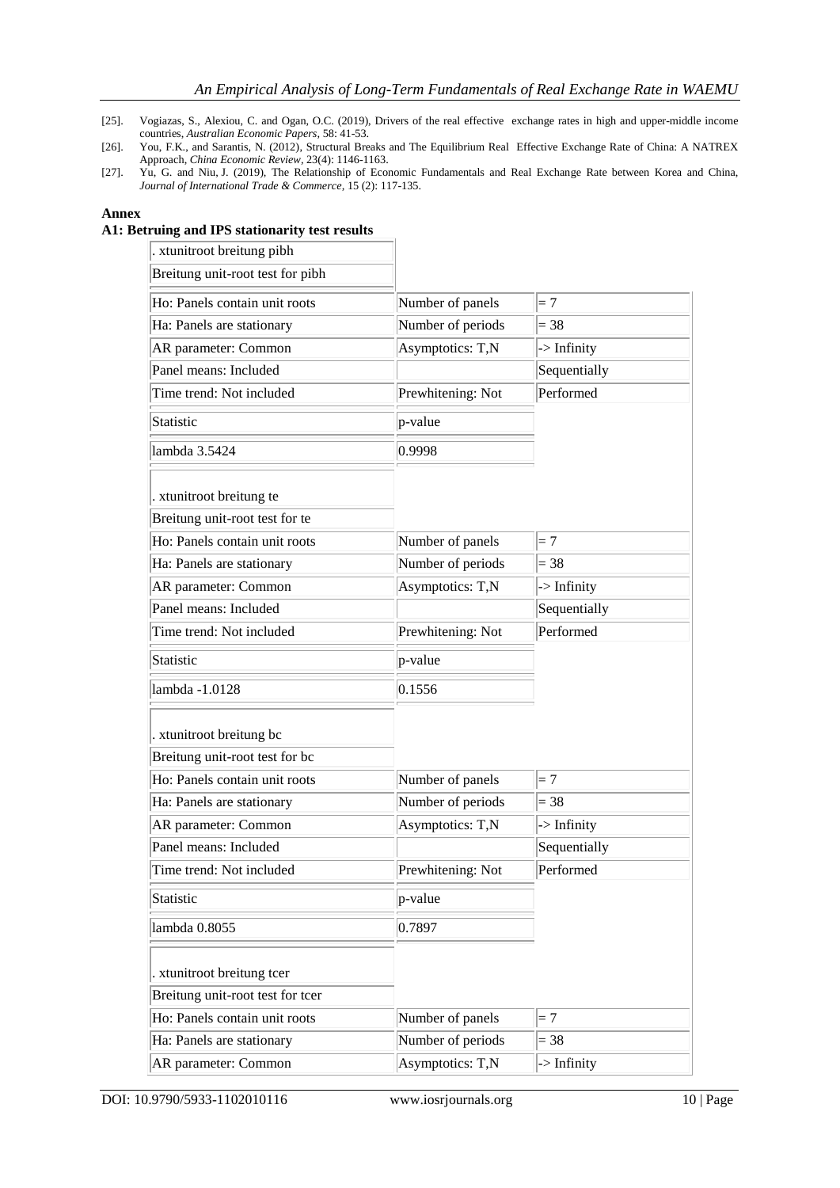- [25]. Vogiazas, S., Alexiou, C. and Ogan, O.C. (2019), Drivers of the real effective exchange rates in high and upper-middle income countries, *Australian Economic Papers,* 58: 41-53.
- [26]. You, F.K., and Sarantis, N. (2012), Structural Breaks and The Equilibrium Real Effective Exchange Rate of China: A NATREX Approach, *China Economic Review,* 23(4): 1146-1163.
- [27]. Yu, G. and Niu, J. (2019), The Relationship of Economic Fundamentals and Real Exchange Rate between Korea and China, *Journal of International Trade & Commerce,* 15 (2): 117-135.

## **Annex**

# **A1: Betruing and IPS stationarity test results**

| . xtunitroot breitung pibh       |                   |              |
|----------------------------------|-------------------|--------------|
| Breitung unit-root test for pibh |                   |              |
| Ho: Panels contain unit roots    | Number of panels  | $=7$         |
| Ha: Panels are stationary        | Number of periods | $= 38$       |
| AR parameter: Common             | Asymptotics: T,N  | -> Infinity  |
| Panel means: Included            |                   | Sequentially |
| Time trend: Not included         | Prewhitening: Not | Performed    |
| Statistic                        | p-value           |              |
| lambda 3.5424                    | 0.9998            |              |
| . xtunitroot breitung te         |                   |              |
| Breitung unit-root test for te   |                   |              |
| Ho: Panels contain unit roots    | Number of panels  | $=7$         |
| Ha: Panels are stationary        | Number of periods | $= 38$       |
| AR parameter: Common             | Asymptotics: T,N  | -> Infinity  |
| Panel means: Included            |                   | Sequentially |
| Time trend: Not included         | Prewhitening: Not | Performed    |
| Statistic                        | p-value           |              |
| lambda -1.0128                   | 0.1556            |              |
| . xtunitroot breitung bc         |                   |              |
| Breitung unit-root test for bc   |                   |              |
| Ho: Panels contain unit roots    | Number of panels  | $=7$         |
| Ha: Panels are stationary        | Number of periods | $= 38$       |
| AR parameter: Common             | Asymptotics: T,N  | -> Infinity  |
| Panel means: Included            |                   | Sequentially |
| Time trend: Not included         | Prewhitening: Not | Performed    |
| Statistic                        | p-value           |              |
| lambda 0.8055                    | 0.7897            |              |
| . xtunitroot breitung tcer       |                   |              |
| Breitung unit-root test for tcer |                   |              |
| Ho: Panels contain unit roots    | Number of panels  | $=7$         |
| Ha: Panels are stationary        | Number of periods | $= 38$       |
| AR parameter: Common             | Asymptotics: T,N  | -> Infinity  |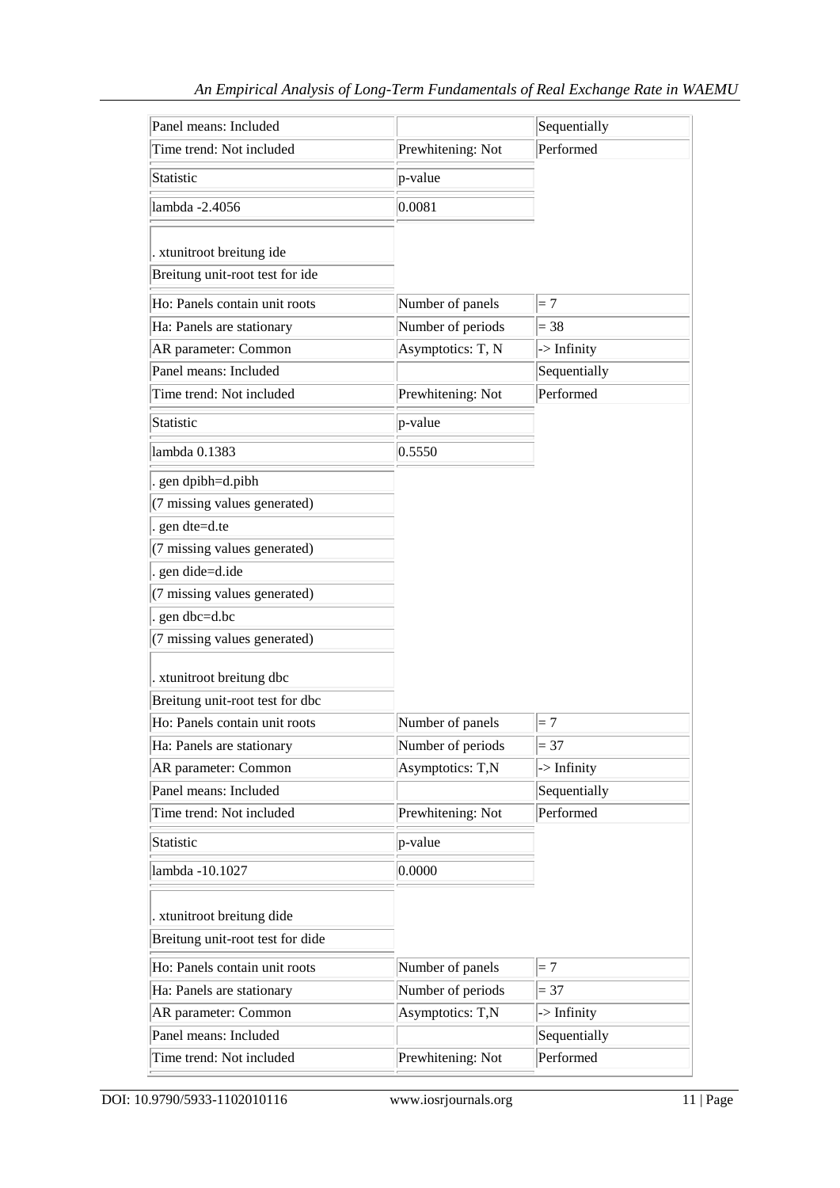| Panel means: Included            |                   | Sequentially |
|----------------------------------|-------------------|--------------|
| Time trend: Not included         | Prewhitening: Not | Performed    |
| Statistic                        | p-value           |              |
| lambda -2.4056                   | 0.0081            |              |
| . xtunitroot breitung ide        |                   |              |
| Breitung unit-root test for ide  |                   |              |
| Ho: Panels contain unit roots    | Number of panels  | $=7$         |
| Ha: Panels are stationary        | Number of periods | $= 38$       |
| AR parameter: Common             | Asymptotics: T, N | -> Infinity  |
| Panel means: Included            |                   | Sequentially |
| Time trend: Not included         | Prewhitening: Not | Performed    |
| <b>Statistic</b>                 | p-value           |              |
| lambda 0.1383                    | 0.5550            |              |
| gen dpibh=d.pibh                 |                   |              |
| (7 missing values generated)     |                   |              |
| gen dte=d.te                     |                   |              |
| (7 missing values generated)     |                   |              |
| . gen dide=d.ide                 |                   |              |
| (7 missing values generated)     |                   |              |
| gen dbc=d.bc                     |                   |              |
| (7 missing values generated)     |                   |              |
| . xtunitroot breitung dbc        |                   |              |
| Breitung unit-root test for dbc  |                   |              |
| Ho: Panels contain unit roots    | Number of panels  | $=7$         |
| Ha: Panels are stationary        | Number of periods | $= 37$       |
| AR parameter: Common             | Asymptotics: T,N  | -> Infinity  |
| Panel means: Included            |                   | Sequentially |
| Time trend: Not included         | Prewhitening: Not | Performed    |
| Statistic                        | p-value           |              |
| lambda -10.1027                  | 0.0000            |              |
|                                  |                   |              |
| . xtunitroot breitung dide       |                   |              |
| Breitung unit-root test for dide |                   |              |
| Ho: Panels contain unit roots    | Number of panels  | $=7$         |
| Ha: Panels are stationary        | Number of periods | $= 37$       |
| AR parameter: Common             | Asymptotics: T,N  | -> Infinity  |
| Panel means: Included            |                   | Sequentially |
| Time trend: Not included         | Prewhitening: Not | Performed    |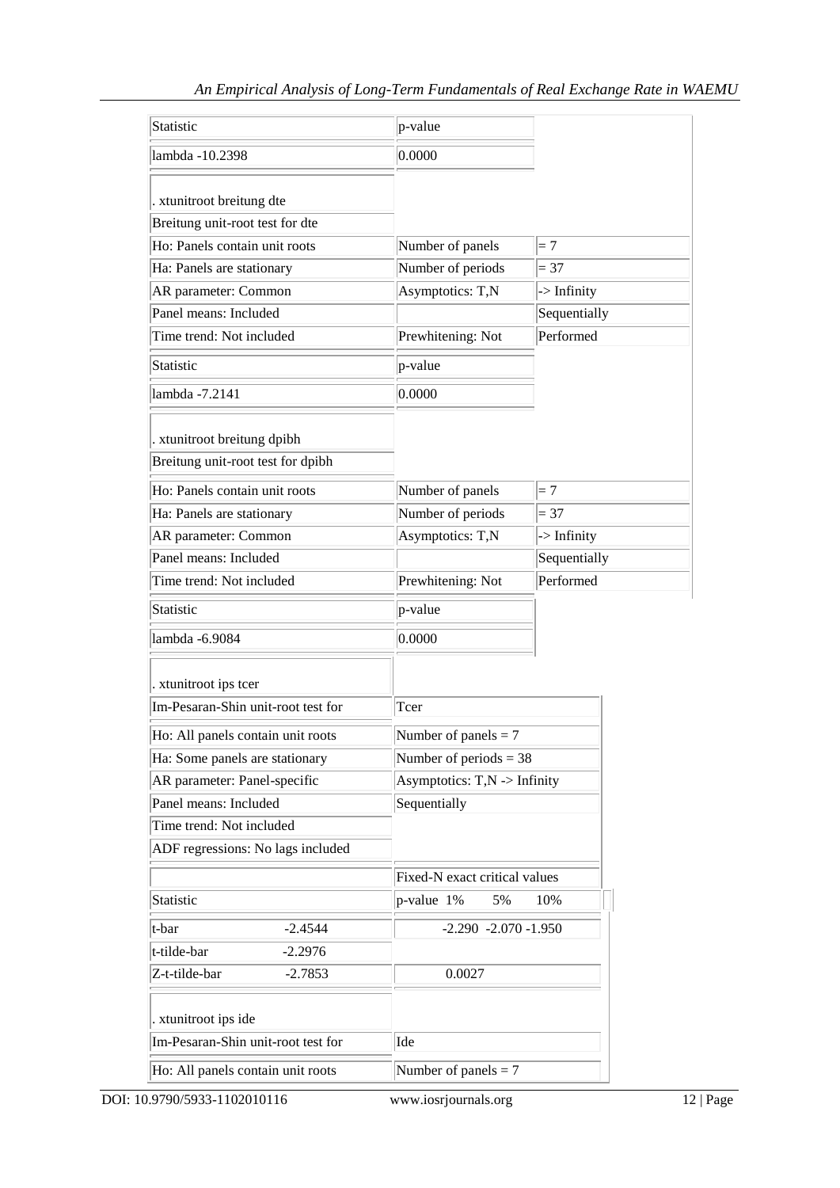| p-value                                  |                                       |  |
|------------------------------------------|---------------------------------------|--|
| 0.0000                                   |                                       |  |
|                                          |                                       |  |
|                                          |                                       |  |
|                                          | $=7$                                  |  |
|                                          | $= 37$                                |  |
| Asymptotics: T,N                         | $\rightarrow$ Infinity                |  |
|                                          | Sequentially                          |  |
| Prewhitening: Not                        | Performed                             |  |
| p-value                                  |                                       |  |
| 0.0000                                   |                                       |  |
|                                          |                                       |  |
|                                          |                                       |  |
| Number of panels                         | $=7$                                  |  |
| Number of periods                        | $= 37$                                |  |
| Asymptotics: T,N                         | $\rightarrow$ Infinity                |  |
|                                          | Sequentially                          |  |
| Prewhitening: Not                        | Performed                             |  |
| p-value                                  |                                       |  |
| 0.0000                                   |                                       |  |
|                                          |                                       |  |
| Tcer                                     |                                       |  |
| Number of panels $= 7$                   |                                       |  |
| Number of periods $=$ 38                 |                                       |  |
| Asymptotics: $T, N \rightarrow$ Infinity |                                       |  |
| Sequentially                             |                                       |  |
|                                          |                                       |  |
|                                          |                                       |  |
| Fixed-N exact critical values            |                                       |  |
| p-value 1%<br>5%<br>10%                  |                                       |  |
| $-2.290 -2.070 -1.950$                   |                                       |  |
|                                          |                                       |  |
| 0.0027                                   |                                       |  |
|                                          |                                       |  |
| Ide                                      |                                       |  |
| Number of panels $= 7$                   |                                       |  |
|                                          | Number of panels<br>Number of periods |  |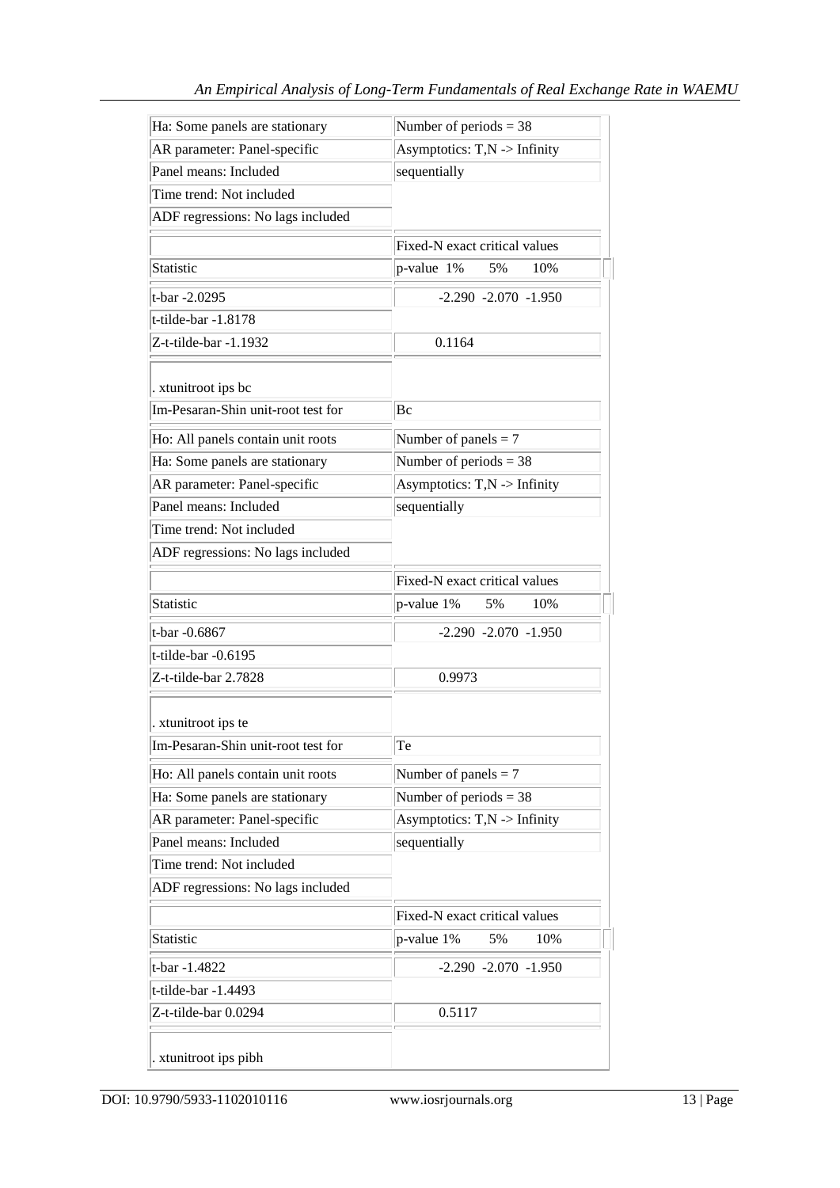| Ha: Some panels are stationary     | Number of periods $=$ 38                 |  |
|------------------------------------|------------------------------------------|--|
| AR parameter: Panel-specific       | Asymptotics: $T, N \rightarrow$ Infinity |  |
| Panel means: Included              | sequentially                             |  |
| Time trend: Not included           |                                          |  |
| ADF regressions: No lags included  |                                          |  |
|                                    | Fixed-N exact critical values            |  |
| Statistic                          | p-value 1%<br>5%<br>10%                  |  |
| t-bar -2.0295                      | $-2.290 -2.070 -1.950$                   |  |
| t-tilde-bar -1.8178                |                                          |  |
| Z-t-tilde-bar -1.1932              | 0.1164                                   |  |
|                                    |                                          |  |
| . xtunitroot ips bc                |                                          |  |
| Im-Pesaran-Shin unit-root test for | Bc                                       |  |
| Ho: All panels contain unit roots  | Number of panels $= 7$                   |  |
| Ha: Some panels are stationary     | Number of periods $=$ 38                 |  |
| AR parameter: Panel-specific       | Asymptotics: $T, N \rightarrow$ Infinity |  |
| Panel means: Included              | sequentially                             |  |
| Time trend: Not included           |                                          |  |
| ADF regressions: No lags included  |                                          |  |
|                                    | Fixed-N exact critical values            |  |
| <b>Statistic</b>                   | p-value 1%<br>5%<br>10%                  |  |
| t-bar -0.6867                      | $-2.290 -2.070 -1.950$                   |  |
| t-tilde-bar $-0.6195$              |                                          |  |
| Z-t-tilde-bar 2.7828               | 0.9973                                   |  |
|                                    |                                          |  |
| . xtunitroot ips te                |                                          |  |
| Im-Pesaran-Shin unit-root test for | Te                                       |  |
| Ho: All panels contain unit roots  | Number of panels $= 7$                   |  |
| Ha: Some panels are stationary     | Number of periods $=$ 38                 |  |
| AR parameter: Panel-specific       | Asymptotics: $T, N \rightarrow$ Infinity |  |
| Panel means: Included              | sequentially                             |  |
| Time trend: Not included           |                                          |  |
| ADF regressions: No lags included  |                                          |  |
|                                    | Fixed-N exact critical values            |  |
| <b>Statistic</b>                   | 5%<br>p-value 1%<br>10%                  |  |
| t-bar -1.4822                      | $-2.290 -2.070 -1.950$                   |  |
| t-tilde-bar -1.4493                |                                          |  |
| Z-t-tilde-bar 0.0294               | 0.5117                                   |  |
|                                    |                                          |  |
| . xtunitroot ips pibh              |                                          |  |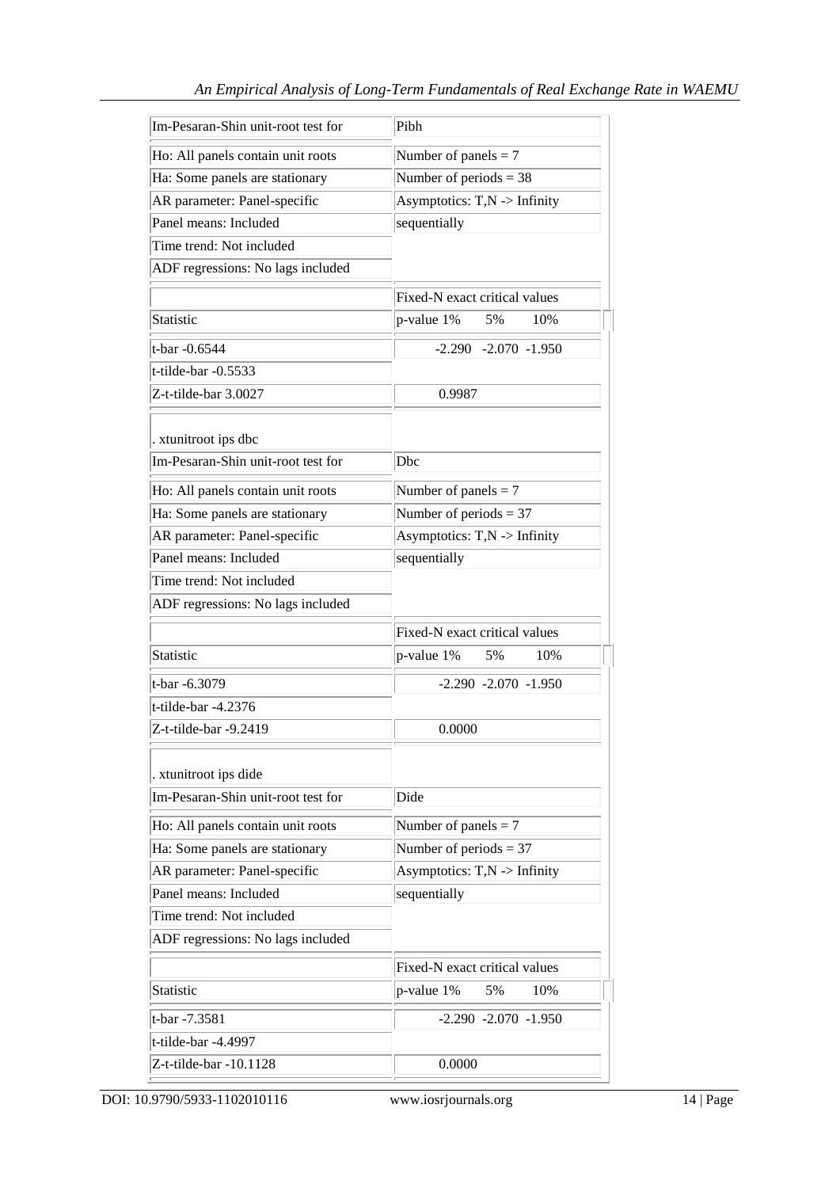| Im-Pesaran-Shin unit-root test for                                  | Pibh                                               |  |
|---------------------------------------------------------------------|----------------------------------------------------|--|
| Ho: All panels contain unit roots                                   | Number of panels $= 7$                             |  |
| Ha: Some panels are stationary                                      | Number of periods $=$ 38                           |  |
| AR parameter: Panel-specific                                        | Asymptotics: T,N -> Infinity                       |  |
| Panel means: Included                                               | sequentially                                       |  |
| Time trend: Not included                                            |                                                    |  |
| ADF regressions: No lags included                                   |                                                    |  |
|                                                                     | Fixed-N exact critical values                      |  |
| Statistic                                                           | p-value 1%<br>5%<br>10%                            |  |
| t-bar -0.6544                                                       | $-2.290$ $-2.070$ $-1.950$                         |  |
| t-tilde-bar -0.5533                                                 |                                                    |  |
| Z-t-tilde-bar 3.0027                                                | 0.9987                                             |  |
|                                                                     |                                                    |  |
| . xtunitroot ips dbc                                                |                                                    |  |
| Im-Pesaran-Shin unit-root test for                                  | Dbc                                                |  |
| Ho: All panels contain unit roots                                   | Number of panels $= 7$                             |  |
| Ha: Some panels are stationary                                      | Number of periods $=$ 37                           |  |
| AR parameter: Panel-specific                                        | Asymptotics: $T, N \rightarrow$ Infinity           |  |
| Panel means: Included                                               | sequentially                                       |  |
| Time trend: Not included                                            |                                                    |  |
| ADF regressions: No lags included                                   |                                                    |  |
|                                                                     | Fixed-N exact critical values                      |  |
| Statistic                                                           | p-value 1%<br>5%<br>10%                            |  |
| t-bar -6.3079                                                       | $-2.290 -2.070 -1.950$                             |  |
| t-tilde-bar -4.2376                                                 |                                                    |  |
| Z-t-tilde-bar -9.2419                                               | 0.0000                                             |  |
| . xtunitroot ips dide                                               |                                                    |  |
| Im-Pesaran-Shin unit-root test for                                  | Dide                                               |  |
|                                                                     |                                                    |  |
| Ho: All panels contain unit roots<br>Ha: Some panels are stationary | Number of panels $= 7$<br>Number of periods $=$ 37 |  |
| AR parameter: Panel-specific                                        | Asymptotics: $T, N \rightarrow$ Infinity           |  |
| Panel means: Included                                               | sequentially                                       |  |
| Time trend: Not included                                            |                                                    |  |
| ADF regressions: No lags included                                   |                                                    |  |
|                                                                     |                                                    |  |
|                                                                     | Fixed-N exact critical values                      |  |
| Statistic                                                           | p-value 1%<br>5%<br>10%                            |  |
| t-bar -7.3581                                                       | $-2.290 -2.070 -1.950$                             |  |
| t-tilde-bar -4.4997                                                 |                                                    |  |
| Z-t-tilde-bar -10.1128                                              | 0.0000                                             |  |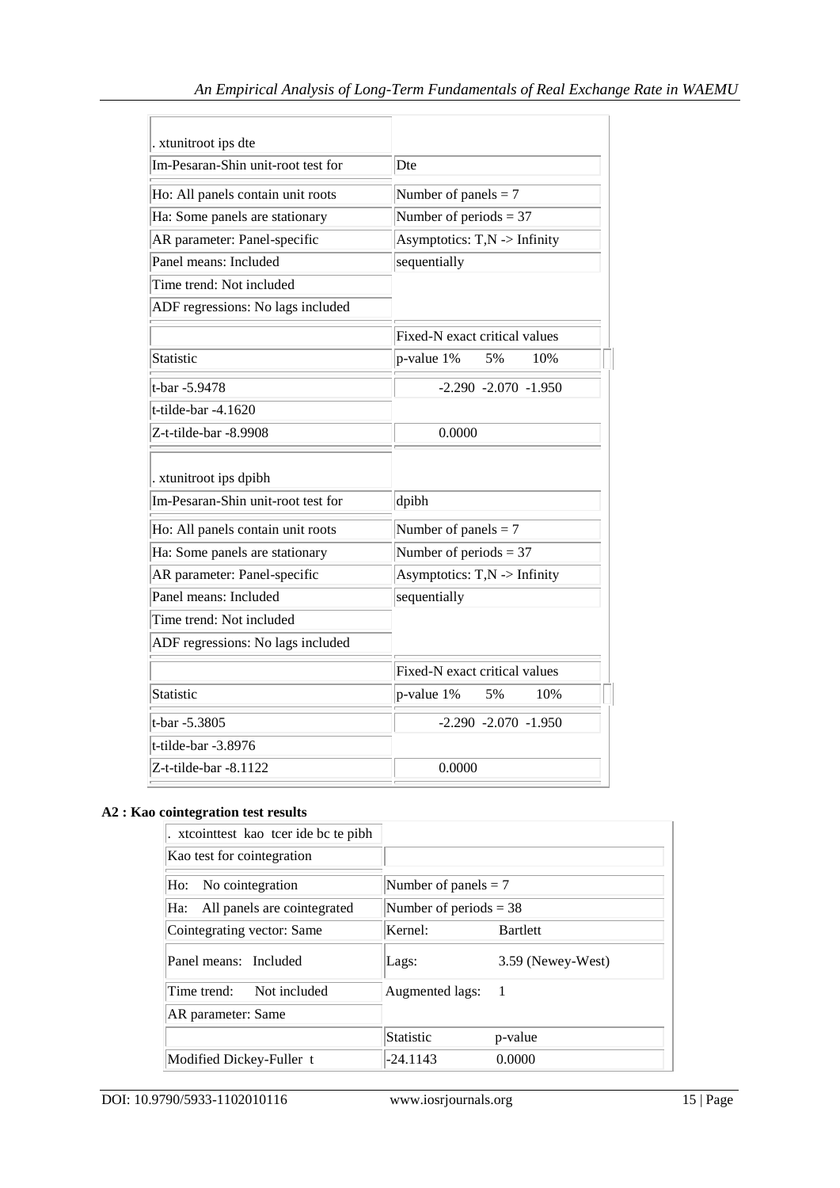| . xtunitroot ips dte                                         |                                          |  |
|--------------------------------------------------------------|------------------------------------------|--|
| Im-Pesaran-Shin unit-root test for                           | Dte                                      |  |
| Ho: All panels contain unit roots                            | Number of panels $= 7$                   |  |
| Ha: Some panels are stationary                               | Number of periods $=$ 37                 |  |
| AR parameter: Panel-specific                                 | Asymptotics: $T, N \rightarrow$ Infinity |  |
| Panel means: Included                                        | sequentially                             |  |
| Time trend: Not included                                     |                                          |  |
| ADF regressions: No lags included                            |                                          |  |
|                                                              | Fixed-N exact critical values            |  |
| Statistic                                                    | 10%<br>$p$ -value $1\%$<br>5%            |  |
| t-bar -5.9478                                                | $-2.290 -2.070 -1.950$                   |  |
| $t$ -tilde-bar -4.1620                                       |                                          |  |
| Z-t-tilde-bar -8.9908                                        | 0.0000                                   |  |
| . xtunitroot ips dpibh<br>Im-Pesaran-Shin unit-root test for | dpibh                                    |  |
| Ho: All panels contain unit roots                            | Number of panels $= 7$                   |  |
| Ha: Some panels are stationary                               | Number of periods $=$ 37                 |  |
| AR parameter: Panel-specific                                 | Asymptotics: T,N -> Infinity             |  |
| Panel means: Included                                        | sequentially                             |  |
| Time trend: Not included                                     |                                          |  |
| ADF regressions: No lags included                            |                                          |  |
|                                                              | Fixed-N exact critical values            |  |
| Statistic                                                    | $p$ -value 1%<br>5%<br>10%               |  |
| t-bar -5.3805                                                | $-2.290 - 2.070 - 1.950$                 |  |
| t-tilde-bar -3.8976                                          |                                          |  |
| Z-t-tilde-bar -8.1122                                        | 0.0000                                   |  |

# **A2 : Kao cointegration test results**

| . xtcointest kao teer ide be te pibh |                          |                   |
|--------------------------------------|--------------------------|-------------------|
| Kao test for cointegration           |                          |                   |
| Ho: No cointegration                 | Number of panels $= 7$   |                   |
| All panels are cointegrated<br>Ha:   | Number of periods $=$ 38 |                   |
| Cointegrating vector: Same           | Kernel:                  | <b>Bartlett</b>   |
| Panel means: Included                | Lags:                    | 3.59 (Newey-West) |
| Time trend: Not included             | Augmented lags:          | - 1               |
| AR parameter: Same                   |                          |                   |
|                                      | <b>Statistic</b>         | p-value           |
| Modified Dickey-Fuller t             | $-24.1143$               | 0.0000            |